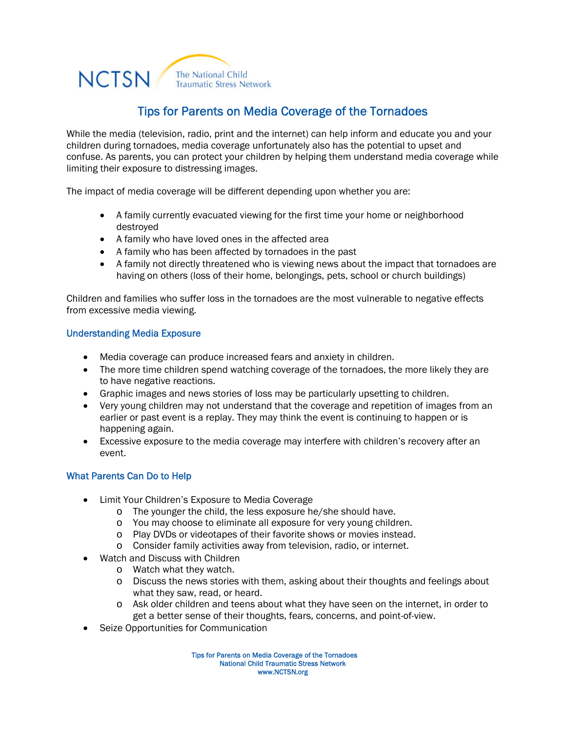## **NCTSN** The National Child **Traumatic Stress Network**

# Tips for Parents on Media Coverage of the Tornadoes

While the media (television, radio, print and the internet) can help inform and educate you and your children during tornadoes, media coverage unfortunately also has the potential to upset and confuse. As parents, you can protect your children by helping them understand media coverage while limiting their exposure to distressing images.

The impact of media coverage will be different depending upon whether you are:

- A family currently evacuated viewing for the first time your home or neighborhood destroyed
- A family who have loved ones in the affected area
- A family who has been affected by tornadoes in the past
- A family not directly threatened who is viewing news about the impact that tornadoes are having on others (loss of their home, belongings, pets, school or church buildings)

Children and families who suffer loss in the tornadoes are the most vulnerable to negative effects from excessive media viewing.

### Understanding Media Exposure

- Media coverage can produce increased fears and anxiety in children.
- The more time children spend watching coverage of the tornadoes, the more likely they are to have negative reactions.
- Graphic images and news stories of loss may be particularly upsetting to children.
- Very young children may not understand that the coverage and repetition of images from an earlier or past event is a replay. They may think the event is continuing to happen or is happening again.
- Excessive exposure to the media coverage may interfere with children's recovery after an event.

### What Parents Can Do to Help

- Limit Your Children's Exposure to Media Coverage
	- o The younger the child, the less exposure he/she should have.
	- o You may choose to eliminate all exposure for very young children.
	- o Play DVDs or videotapes of their favorite shows or movies instead.
	- o Consider family activities away from television, radio, or internet.
- Watch and Discuss with Children
	- o Watch what they watch.
	- o Discuss the news stories with them, asking about their thoughts and feelings about what they saw, read, or heard.
	- o Ask older children and teens about what they have seen on the internet, in order to get a better sense of their thoughts, fears, concerns, and point-of-view.
- Seize Opportunities for Communication

Tips for Parents on Media Coverage of the Tornadoes National Child Traumatic Stress Network www.NCTSN.org